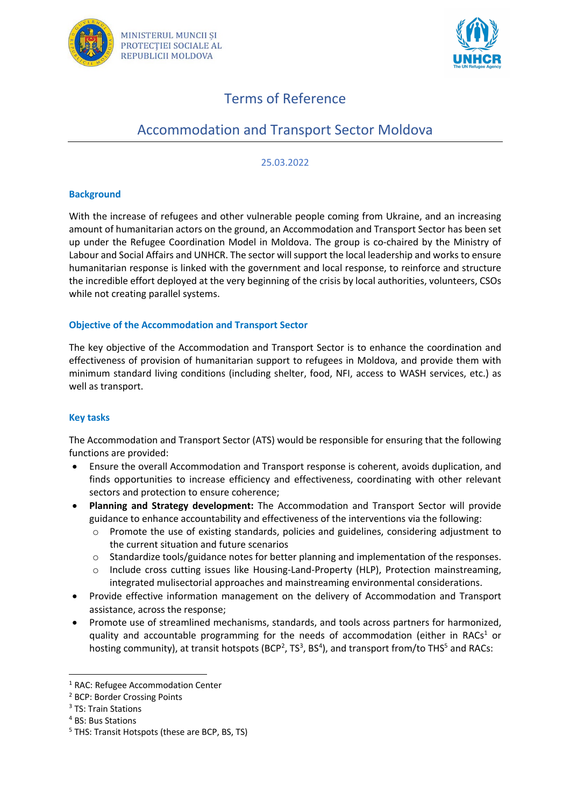



# Terms of Reference

# Accommodation and Transport Sector Moldova

#### 25.03.2022

### **Background**

With the increase of refugees and other vulnerable people coming from Ukraine, and an increasing amount of humanitarian actors on the ground, an Accommodation and Transport Sector has been set up under the Refugee Coordination Model in Moldova. The group is co-chaired by the Ministry of Labour and Social Affairs and UNHCR. The sector will support the local leadership and works to ensure humanitarian response is linked with the government and local response, to reinforce and structure the incredible effort deployed at the very beginning of the crisis by local authorities, volunteers, CSOs while not creating parallel systems.

## **Objective of the Accommodation and Transport Sector**

The key objective of the Accommodation and Transport Sector is to enhance the coordination and effectiveness of provision of humanitarian support to refugees in Moldova, and provide them with minimum standard living conditions (including shelter, food, NFI, access to WASH services, etc.) as well as transport.

## **Key tasks**

The Accommodation and Transport Sector (ATS) would be responsible for ensuring that the following functions are provided:

- Ensure the overall Accommodation and Transport response is coherent, avoids duplication, and finds opportunities to increase efficiency and effectiveness, coordinating with other relevant sectors and protection to ensure coherence;
- **Planning and Strategy development:** The Accommodation and Transport Sector will provide guidance to enhance accountability and effectiveness of the interventions via the following:
	- o Promote the use of existing standards, policies and guidelines, considering adjustment to the current situation and future scenarios
	- o Standardize tools/guidance notes for better planning and implementation of the responses.
	- o Include cross cutting issues like Housing-Land-Property (HLP), Protection mainstreaming, integrated mulisectorial approaches and mainstreaming environmental considerations.
- Provide effective information management on the delivery of Accommodation and Transport assistance, across the response;
- Promote use of streamlined mechanisms, standards, and tools across partners for harmonized, quality and accountable programming for the needs of accommodation (either in RACs<sup>1</sup> or hosting community), at transit hotspots (BCP<sup>2</sup>, TS<sup>3</sup>, BS<sup>4</sup>), and transport from/to THS<sup>5</sup> and RACs:

<sup>1</sup> RAC: Refugee Accommodation Center

<sup>2</sup> BCP: Border Crossing Points

<sup>&</sup>lt;sup>3</sup> TS: Train Stations

<sup>4</sup> BS: Bus Stations

<sup>&</sup>lt;sup>5</sup> THS: Transit Hotspots (these are BCP, BS, TS)